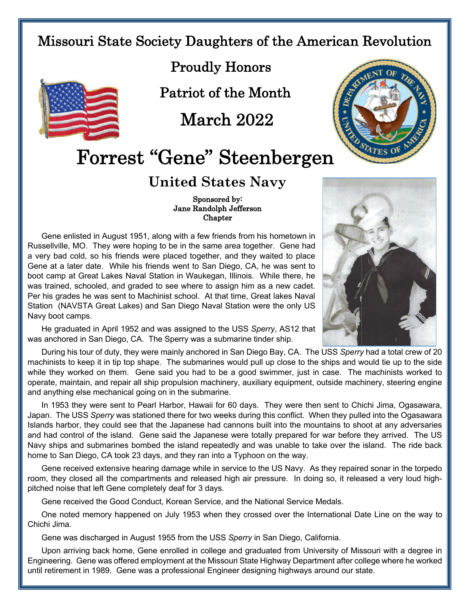## Missouri State Society Daughters of the American Revolution



Proudly Honors

Patriot of the Month

March 2022

## Forrest "Gene" Steenbergen

## **United States Navy**

## Sponsored by: Jane Randolph Jefferson **Chapter**

Gene enlisted in August 1951, along with a few friends from his hometown in Russellville, MO. They were hoping to be in the same area together. Gene had a very bad cold, so his friends were placed together, and they waited to place Gene at a later date. While his friends went to San Diego, CA, he was sent to boot camp at Great Lakes Naval Station in Waukegan, Illinois. While there, he was trained, schooled, and graded to see where to assign him as a new cadet. Per his grades he was sent to Machinist school. At that time, Great lakes Naval Station (NAVSTA Great Lakes) and San Diego Naval Station were the only US Navy boot camps.

He graduated in April 1952 and was assigned to the USS *Sperry*, AS12 that was anchored in San Diego, CA. The Sperry was a submarine tinder ship.

During his tour of duty, they were mainly anchored in San Diego Bay, CA. The USS *Sperry* had a total crew of 20 machinists to keep it in tip top shape. The submarines would pull up close to the ships and would tie up to the side while they worked on them. Gene said you had to be a good swimmer, just in case. The machinists worked to operate, maintain, and repair all ship propulsion machinery, auxiliary equipment, outside machinery, steering engine and anything else mechanical going on in the submarine.

In 1953 they were sent to Pearl Harbor, Hawaii for 60 days. They were then sent to Chichi Jima, Ogasawara, Japan. The USS *Sperry* was stationed there for two weeks during this conflict. When they pulled into the Ogasawara Islands harbor, they could see that the Japanese had cannons built into the mountains to shoot at any adversaries and had control of the island. Gene said the Japanese were totally prepared for war before they arrived. The US Navy ships and submarines bombed the island repeatedly and was unable to take over the island. The ride back home to San Diego, CA took 23 days, and they ran into a Typhoon on the way.

Gene received extensive hearing damage while in service to the US Navy. As they repaired sonar in the torpedo room, they closed all the compartments and released high air pressure. In doing so, it released a very loud highpitched noise that left Gene completely deaf for 3 days.

Gene received the Good Conduct, Korean Service, and the National Service Medals.

One noted memory happened on July 1953 when they crossed over the International Date Line on the way to Chichi Jima.

Gene was discharged in August 1955 from the USS *Sperry* in San Diego, California.

Upon arriving back home, Gene enrolled in college and graduated from University of Missouri with a degree in Engineering. Gene was offered employment at the Missouri State Highway Department after college where he worked until retirement in 1989. Gene was a professional Engineer designing highways around our state.